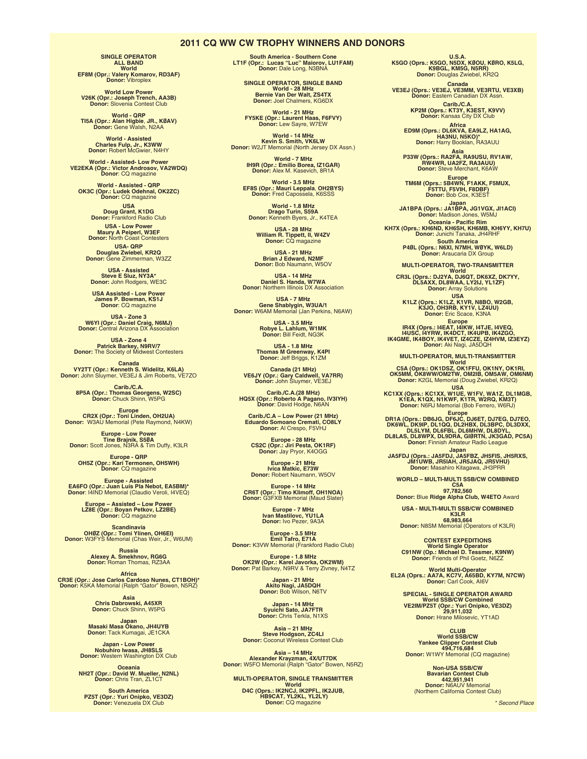#### **2011 CQ WW CW TROPHY WINNERS AND DONORS**

**SINGLE OPERATOR ALL BAND World EF8M (Opr.: Valery Komarov, RD3AF) Donor:** Vibroplex

**World Low Power V26K (Opr.: Joseph Trench, AA3B) Donor:** Slovenia Contest Club

**World - QRP TI5A (Opr.: Alan Higbie**, **JR., KØAV) Donor:** Gene Walsh, N2AA

**World - Assisted Charles Fulp, Jr., K3WW Donor:** Robert McGwier, N4HY

**World - Assisted- Low Power VE2EKA (Opr.: Victor Androsov, VA2WDQ) Donor**: CQ magazine

**World - Assisted - QRP OK3C (Opr.: Ludek Odehnal, OK2ZC) Donor:** CQ magazine

**USA<br>Doug Grant, K1DG<br>Donor:** Frankford Radio Club

**USA - Low Power Maury A Peiperl, W3EF Donor:** North Coast Contesters **USA- QRP Douglas Zwiebel, KR2Q Donor:** Gene Zimmerman, W3ZZ

**USA - Assisted Steve E Sluz, NY3A\* Donor:** John Rodgers, WE3C

**USA Assisted - Low Power James P. Bowman, KS1J Donor**: CQ magazine

**USA - Zone 3 W6YI (Opr.: Daniel Craig, N6MJ) Donor:** Central Arizona DX Association

**USA - Zone 4 Patrick Barkey, N9RV/7 Donor:** The Society of Midwest Contesters

**Canada<br><b>VY2TT (Opr.: Kenneth S. Widelitz, K6LA)**<br>**Donor:** John Sluymer, VE3EJ & Jim Roberts, VE7ZO

**Carib./C.A. 8P5A (Opr.: Thomas Georgens, W2SC) Donor:** Chuck Shinn, W5PG

**Europe<br>CR2X (Opr.: Toni Linden, OH2UA)<br>Donor: W3AU Memorial (Pete Raymond, N4KW)** 

**Europe - Low Power Tine Brajnik, S5ØA Donor:** Scott Jones, N3RA & Tim Duffy, K3LR

**Europe - QRP OH5Z (Opr.: Kari Termonen, OH5WH) Donor**: CQ magazine

**Europe - Assisted EA6FO (Opr.: Juan Luis Pla Nebot, EA5BM)\* Donor**: I4IND Memorial (Claudio Veroli, I4VEQ)

**Europe – Assisted – Low Power LZ8E (Opr.: Boyan Petkov, LZ2BE) Donor:** CQ magazine

**Scandinavia<br><b>OHØZ (Opr.: Tomi Ylinen, OH6EI)**<br>Donor: W3FYS Memorial (Chas Weir, Jr., W6UM)

**Russia Alexey A. Smekhnov, RG6G Donor:** Roman Thomas, RZ3AA

**Africa CR3E (Opr.: Jose Carlos Cardoso Nunes, CT1BOH)\* Donor:** K5KA Memorial (Ralph "Gator" Bowen, N5RZ)

**Asia Chris Dabrowski, A45XR Donor:** Chuck Shinn, W5PG

**Japan<br>Masaki Masa Okano, JH4UYB<br>Donor:** Tack Kumagai, JE1CKA

**Japan - Low Power Nobuhiro Iwasa, JH8SLS Donor:** Western Washington DX Club

**Oceania NH2T (Opr.: David W. Mueller, N2NL) Donor:** Chris Tran, ZL1CT

**South America PZ5T (Opr.: Yuri Onipko, VE3DZ) Donor:** Venezuela DX Club **South America - Southern Cone LT1F (Opr.: Lucas "Luc" Maiorov, LU1FAM) Donor:** Dale Long, N3BNA

**SINGLE OPERATOR, SINGLE BAND World - 28 MHz Bernie Van Der Walt, ZS4TX Donor:** Joel Chalmers, KG6DX

**World - 21 MHz FY5KE (Opr.: Laurent Haas, F6FVY) Donor:** Lew Sayre, W7EW

**World - 14 MHz Kevin S. Smith, VK6LW Donor:** W2JT Memorial (North Jersey DX Assn.)

**World - 7 MHz IH9R (Opr.: Emilio Borea, IZ1GAR) Donor:** Alex M. Kasevich, 8R1A

**World - 3.5 MHz EF8S (Opr.: Mauri Leppala**, **OH2BYS) Donor:** Fred Capossela, K6SSS **World - 1.8 MHz**

**Drago Turin, S59A Donor:** Kenneth Byers, Jr., K4TEA

**USA - 28 MHz William R. Tippett, II, W4ZV Donor:** CQ magazine

**USA - 21 MHz Brian J Edward, N2MF Donor:** Bob Naumann, W5OV

**USA - 14 MHz Daniel S. Handa, W7WA Donor:** Northern Illinois DX Association

**USA - 7 MHz Gene Shablygin, W3UA/1 Donor:** W6AM Memorial (Jan Perkins, N6AW)

> **USA - 3.5 MHz Robye L. Lahlum, W1MK Donor:** Bill Feidt, NG3K

**USA - 1.8 MHz Thomas M Greenway, K4PI Donor:** Jeff Briggs, K1ZM

**Canada (21 MHz) VE6JY (Opr.: Gary Caldwell, VA7RR) Donor:** John Sluymer, VE3EJ

**Carib./C.A.(28 MHz) HQ5X (Opr.: Roberto A Pagano, IV3IYH) Donor**: David Hodge, N6AN

**Carib./C.A – Low Power (21 MHz) Eduardo Somoano Cremati, CO8LY Donor:** Al Crespo, F5VHJ

**Europe - 28 MHz CS2C (Opr.: Jiri Pesta, OK1RF) Donor:** Jay Pryor, K4OGG

**Europe - 21 MHz Ivica Matkic, E73W Donor:** Robert Naumann, W5OV

**Europe - 14 MHz CR6T (Opr.: Timo Klimoff, OH1NOA) Donor:** G3FXB Memorial (Maud Slater)

**Europe - 7 MHz Ivan Mastilovc, YU1LA Donor:** Ivo Pezer, 9A3A

**Europe - 3.5 MHz Emil Tafro, E71A Donor:** K3VW Memorial (Frankford Radio Club)

**Europe - 1.8 MHz<br>OK2W (Opr.: Karel Javorka, OK2WM)<br>Donor: Pat Barkey, N9RV & Terry Zivney, N4TZ** 

**Japan - 21 MHz Akito Nagi, JA5DQH Donor:** Bob Wilson, N6TV

**Japan - 14 MHz Syuichi Sato, JA7FTR Donor:** Chris Terkla, N1XS

**Asia – 21 MHz Steve Hodgson, ZC4LI Donor:** Coconut Wireless Contest Club

**Asia – 14 MHz<br>Alexander Krayzman, 4X/UT7DK<br>Donor: W5FO Memorial (Ralph "Gator" Bowen, N5RZ)** 

**MULTI-OPERATOR, SINGLE TRANSMITTER World D4C (Oprs.: IK2NCJ, IK2PFL, IK2JUB, HB9CAT, YL2KL, YL2LY) Donor:** CQ magazine

**U.S.A. K5GO (Oprs.: K5GO, N5DX, KØOU, KØRO, K5LG, K9BGL, KM5G, N5RR) Donor:** Douglas Zwiebel, KR2Q

**Canada<br>VE3EJ (Oprs.: VE3EJ, VE3MM, VE3RTU, VE3XB)<br>Donor: Eastern Canadian DX Assn.** 

**Carib./C.A. KP2M (Oprs.: KT3Y, K3EST, K9VV) Donor:** Kansas City DX Club

Africa<br>ED9M (Oprs.: DL6KVA, EA9LZ, HA1AG,<br>Donor: Harry Booklan, RA3AUU

**Asia<br>P33W (Oprs.: RA2FA, RA9USU, RV1AW,<br>RW4WR, UA2FZ, RA3AUU)<br>Donor: Steve Merchant, K6AW** 

**Europe TM6M (Oprs.: 5B4WN, F1AKK, F5MUX, F5TTU, F5VIH, F8DBF) Donor:** Bob Cox, K3EST

**Japan<br>JA1BPA (Oprs.: JA1BPA, JG1VGX, JI1ACI)<br>Donor: Madison Jones, W5MJ** 

**Oceania - Pacific Rim KH7X (Oprs.: KH6ND, KH6SH, KH6MB, KH6YY, KH7U) Donor:** Junichi Tanaka, JH4RHF **South America P4ØL (Oprs.: N6XI, N7MH, WØYK, W6LD) Donor:** Araucaria DX Group

**MULTI-OPERATOR, TWO-TRANSMITTER World CR3L (Oprs.: DJ2YA, DJ6QT, DK6XZ, DK7YY, DL5AXX, DL8WAA, LY2IJ, YL1ZF) Donor:** Array Solutions

**USA K1LZ (Oprs.: K1LZ, K1VR, N8BO, W2GB, K3JO, OH3RB, KY1V, LZ4UU) Donor:** Eric Scace, K3NA

**Europe**<br>ELAT, I4IKW, I4TJE, I4VEQ,<br>I4USC, I4YRW, IK4DCT, IK4UPB, IK4ZGO,<br>IK4GME, IK4BOY, IK4VET, IZ4CZE, IZ4HVM, IZ3EYZ)<br>Donor: Aki Nagi, JA5DQH

**MULTI-OPERATOR, MULTI-TRANSMITTER World C5A (Oprs.: OK1DSZ, OK1FFU, OK1NY, OK1RI, OK5MM, OK8WW/OM2TW, OM2IB, OM5AW, OM6NM) Donor:** K2GL Memorial (Doug Zwiebel, KR2Q) **USA**

**KC1XX (Oprs.: KC1XX, W1UE, W1FV, WA1Z, DL1MGB, K1EA, K1QX, N1KWF, K1TR, W2RQ, KM3T) Donor:** N6RJ Memorial (Bob Ferrero, W6RJ)

Europe<br>DR1A (Oprs.: DB6JG, DL1QC, DJ6ET, DJ7EG, DJ7EO,<br>DK6WL, DK9IP, DL1QQ, DL2HBX, DL3BPC, DL3DXX,<br>DL5LYM, DL6PBL, DL6MHW, DL8DYL,<br>DL8LAS, DD8WPX, DL9DRA, GIØRTN, JK3GAD, PC5A)<br>Donor: Finnish Amateur Radio League

**Japan<br>JA5FDJ (Oprs.: JA5FDJ, JA5FBZ, JH5FIS, JH5RXS,<br>JM1<b>UWB, JR5JAH, JR5JAQ, JR5VHU)**<br>Donor: Masahiro Kitagawa, JH3PRR

**WORLD – MULTI-MULTI SSB/CW COMBINED C5A 97,782,560**

**Donor:** Blue **Ridge Alpha Club, W4ETO** Award

**USA - MULTI-MULTI SSB/CW COMBINED K3LR<br>68,983,664<br>Donor: N8SM Memorial (Operators of K3LR)** 

**CONTEST EXPEDITIONS World Single Operator C91NW (Op.: Michael D. Tessmer, K9NW) Donor:** Friends of Phil Goetz, N6ZZ

**World Multi-Operator EL2A (Oprs.: AA7A, KC7V, A65BD, KY7M, N7CW) Donor:** Carl Cook, AI6V

**SPECIAL - SINGLE OPERATOR AWARD World SSB/CW Combined VE2IM/PZ5T (Opr.: Yuri Onipko, VE3DZ) 29,911,032 Donor:** Hrane Milosevic, YT1AD

**CLUB World SSB/CW Yankee Clipper Contest Club 494,716,684 Donor:** W1WY Memorial (CQ magazine)

**Non-USA SSB/CW Bavarian Contest Club 442,951,941 Donor:** N6AUV Memorial (Northern California Contest Club)

*\* Second Place*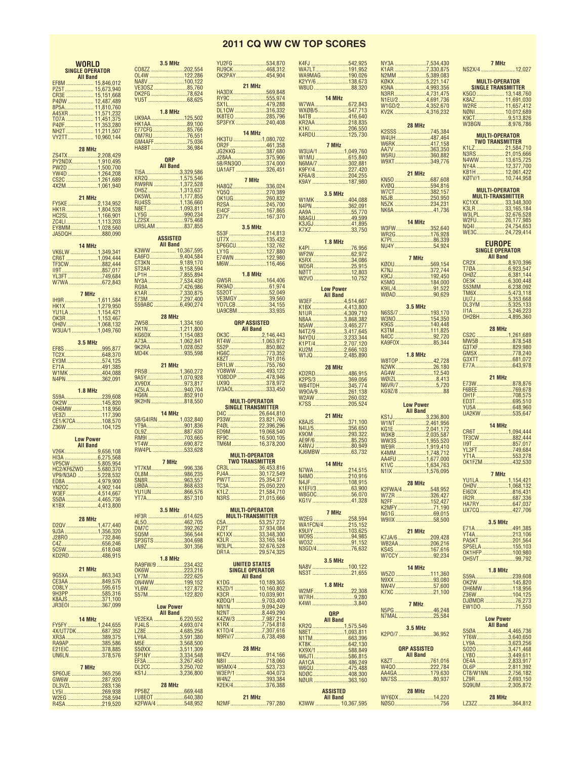## **2011 CQ WW CW TOP SCORES**

|                    | <b>WORLD</b>                                | <b>3.5 MHz</b>                             |  |
|--------------------|---------------------------------------------|--------------------------------------------|--|
|                    | <b>SINGLE OPERATOR</b>                      | CO8ZZ 202,554                              |  |
|                    | <b>All Band</b>                             | 0L4W 122,286<br>NA8V 100,122               |  |
|                    |                                             | VE30SZ 85,760                              |  |
|                    |                                             | DK2FG 78,624                               |  |
|                    |                                             | YU5T 68,625                                |  |
|                    |                                             | <b>1.8 MHz</b>                             |  |
|                    |                                             | UK9AA 125,502                              |  |
|                    | P40F 11,353,280<br>NH2T 11,211,507          |                                            |  |
|                    | VY2TT 10,960,144                            | E77CFG85,766<br>0M7RU76,551                |  |
|                    |                                             | GM4AFF75,036                               |  |
|                    | 28 MHz                                      | HA8BT 36,984                               |  |
|                    |                                             | <b>QRP</b>                                 |  |
|                    |                                             | <b>All Band</b>                            |  |
|                    | YW4D 1,264,208                              | TI5A3,329,586                              |  |
|                    | CS2C 1,261,689<br>4X2M 1,061,940            |                                            |  |
|                    |                                             |                                            |  |
|                    | 21 MHz                                      |                                            |  |
|                    | FY5KE2,134,952                              | RU4SS1,136,660                             |  |
|                    | HK1R1,804,528                               | N8ET1,093,811<br>LY5G 990,234              |  |
|                    |                                             | LZ2SX975,468                               |  |
|                    |                                             | UR5LAM837,855                              |  |
|                    | JA5DQH880,090                               | <b>ASSISTED</b>                            |  |
|                    | 14 MHz                                      | <b>All Band</b>                            |  |
|                    | VK6LW 1,349,341                             | K3WW  10,367,595<br>EA6FO9,404,584         |  |
|                    | CR6T 1,094,444                              |                                            |  |
|                    | TF3CW882,444                                | CT3KN 9,189,170<br>ST2AR 9,158,594         |  |
|                    | II9T857,017                                 | LP1H 7,855,894                             |  |
|                    | YL3FT749,684<br>W7WA672,843                 |                                            |  |
|                    |                                             | RG9A7,426,986                              |  |
|                    | 7 MHz<br>IH9R 1,611,584                     |                                            |  |
|                    | HK1X1,279,950                               |                                            |  |
|                    | YU1LA 1,154,421                             |                                            |  |
|                    | OK3R1,153,467                               | 28 MHz<br>ZW5B1,334,160                    |  |
|                    | OHØV1,068,132<br>W3UA/1 1,049,760           | HK1N1,211,800                              |  |
|                    |                                             |                                            |  |
|                    | 3.5 MHz                                     | A73A1,062,841<br>9K2RA 1,028,052           |  |
|                    | EF8S 995,877                                | MD4K 935,598                               |  |
|                    | EY3M574,125                                 |                                            |  |
|                    | E71A491,385                                 | 21 MHz                                     |  |
|                    | W1MK 404,088                                | PR5B 1,360,272<br>9A5Y1,070,928            |  |
|                    | N4PN362,091                                 | XV9DX 973,817                              |  |
|                    |                                             | 4Z5LA940,704                               |  |
|                    |                                             |                                            |  |
|                    | <b>1.8 MHz</b><br>S59A239,608               | HG6N852,910                                |  |
|                    |                                             | 9K2HN 818,550                              |  |
|                    | OH6MW118,956                                | 14 MHz                                     |  |
|                    | VE3ZI117,390<br>CE1/K7CA 108,570            | 5B/G4IRN 1,032,840                         |  |
|                    | Z36W104,125                                 |                                            |  |
|                    |                                             | VT9A901,836<br>OL9Z887,630<br>RM9I 703,665 |  |
|                    | <b>Low Power</b><br><b>All Band</b>         | YT4W690,872                                |  |
|                    | V26K9,656,108                               | RW4PL 533,628                              |  |
|                    |                                             | 7 MHz                                      |  |
|                    |                                             | YT7KM996,336                               |  |
|                    | VP9/N3AD 5,228,532                          | OL8M986,235                                |  |
|                    |                                             | SN8R963,557                                |  |
| YN <sub>2</sub> CC |                                             | UBØA868,633<br>YU1UN866,576                |  |
|                    | S50A 4,465,736                              | YT7A857,310                                |  |
|                    | K1BX 4.413.800                              | 3.5 MHz                                    |  |
|                    |                                             |                                            |  |
|                    | 28 MHz                                      | 4L50462,705                                |  |
|                    | D2QV1,477,440<br>9J3A 1,356,320             | DM7C 392,262                               |  |
|                    |                                             | SQ5M 366,544                               |  |
|                    |                                             | SP3GTS304,698<br>LN9Z301,356               |  |
|                    | 5C5W618,048<br>KD2RD486,915                 |                                            |  |
|                    |                                             | <b>1.8 MHz</b><br>RA9FW/9 234,432          |  |
|                    | 21 MHz                                      | OK6W 223,216                               |  |
|                    | 9G5XA 863,343                               |                                            |  |
|                    | CE3AA 849,576                               | LY7M222,625<br>ON4WW199,152                |  |
|                    |                                             | YL6W127,872<br>S57M122,820                 |  |
|                    |                                             |                                            |  |
|                    | JR3E01 367,099                              | <b>Low Power</b>                           |  |
|                    | 14 MHz                                      | <b>All Band</b><br>VE2EKA 6,220,552        |  |
|                    | FY5FY 1,244,655                             | PJ4LS4,693,074                             |  |
|                    | 4X/UT7DK687,352                             | LZ8E 4,685,256                             |  |
|                    | XR3A 389,375<br>RA9AP385,586                | LY6A3,591,380                              |  |
|                    |                                             | S50XX3,511,309                             |  |
|                    | UN6LN378,576                                |                                            |  |
|                    | 7 MHz                                       |                                            |  |
|                    | SP60JE 365,256                              |                                            |  |
|                    | GW6W 287,920                                |                                            |  |
|                    | DL3VZL 283,136                              | 28 MHz                                     |  |
|                    | LY51269,938<br>W2EG 258,594<br>R4SA 219,520 | LU8E0T 640,380<br>K2FWA/4 548,952          |  |

| YU2FG 534,870<br>RU9CK 468,312<br>OK2PAY454,904                                                                 |                                                                   |  |  |
|-----------------------------------------------------------------------------------------------------------------|-------------------------------------------------------------------|--|--|
| HA3DX569,848<br>RY9C 555,974<br>SX1L479,288                                                                     | 21 MHz                                                            |  |  |
| HK3TU1,080,702<br>J28AA375,906<br>5B/RN3Q0374,000<br>UA1AFT 326,451                                             | 14 MHz                                                            |  |  |
| HA8QZ336,024<br>YQ5Q 270,389<br>0K1UG260,832<br>R2SA245,700<br>EI4CF 167,865<br>Z37Y 167,370                    | 7 MHz                                                             |  |  |
| S53F 214,813                                                                                                    | <b>3.5 MHz</b>                                                    |  |  |
| GW5R164,406<br><b>S520T</b><br>VE3MGY39,560<br>YO7LCB34,155<br>UA9CBM33,935                                     | <b>1.8 MHz</b><br>52,049                                          |  |  |
| HG6C 773,352<br>K8ZT 761,016<br>ER1LW 755,760<br>Y08WW493,122<br>Y08DDP 478,946<br>UX90378,972<br>IV3AOL333,450 | <b>ORP ASSISTED</b><br><b>All Band</b>                            |  |  |
|                                                                                                                 | <b>MULTI-OPERATOR</b><br><b>SINGLE TRANSMITTER</b>                |  |  |
| CR3L  36,453,816                                                                                                | <b>MULTI-OPERATOR</b><br><b>TWO TRANSMITTER</b>                   |  |  |
|                                                                                                                 | <b>MULTI-OPERATOR</b><br><b>MULTI-TRANSMITTER</b>                 |  |  |
| NN1N9,094,249<br>N2NT 8,449,290                                                                                 | <b>UNITED STATES</b><br><b>SINGLE OPERATOR</b><br><b>All Band</b> |  |  |
| W4ZV914,166<br>N8II 718,060<br>W5MX/4 523,733<br>W3EP/1 404,073<br>W4NZ 393,384<br>K2EK/4376,388                | 28 MHz                                                            |  |  |
| N2MF797,280                                                                                                     | 21 MHz                                                            |  |  |

| K4FJ 542,925                      | NY3A 7,534,430                      |  |
|-----------------------------------|-------------------------------------|--|
| WA7LT191,952                      | K1AR 7,330,875                      |  |
| WA9MAG190,026                     | N2MM 5.389.083                      |  |
| K2YY/6 138,673<br>W8UD88,320      | KØKX5,221,147<br>K5NA 4,993,356     |  |
|                                   |                                     |  |
| 14 MHz                            | N3RR4,731,475<br>N1EU/2 4,691,736   |  |
| W7WA 672,843                      |                                     |  |
| WXØB/5547,713                     | W1GD/24,352,670<br>KV2K 4,316,232   |  |
| N4TB 416,640                      |                                     |  |
| KR2AA218,835                      | <b>28 MHz</b>                       |  |
| K4RDU125,730                      | K2SSS 745,384                       |  |
|                                   | W4UH487,464                         |  |
| 7 MHz                             | W6RK 417,158<br>AA7V 363,350        |  |
| W3UA/11,049,760                   |                                     |  |
| W1MU615,840                       | W5RU 360,882                        |  |
| N6MA/7 302,881<br>K9FY/4 227,420  | W9XT349,776                         |  |
|                                   | 21 MHz                              |  |
| KF6A/8204,255                     | KN50687,608                         |  |
| K9AY 187,980                      | KVØQ594,816                         |  |
| <b>3.5 MHz</b>                    |                                     |  |
| W1MK 404,088                      |                                     |  |
| N4PN362,091                       |                                     |  |
| AA9A 55,770                       | NK6A 41,736                         |  |
| N8AGU49,599                       |                                     |  |
|                                   | 14 MHz                              |  |
|                                   | W3FW352,640                         |  |
|                                   | WR2G176,928                         |  |
| <b>1.8 MHz</b>                    | NU4Y54,924                          |  |
| K4PI76,956                        |                                     |  |
| K5RX 34,086                       | 7 MHz                               |  |
| WD5R25,915                        | KØDU569,154                         |  |
| NØTT 12,803                       | K7NJ372,744                         |  |
| W2V0 10,752                       | K9CJ 192,450                        |  |
|                                   | K5MQ 184,000                        |  |
| <b>Low Power</b>                  | K9IL/491,522                        |  |
| <b>All Band</b>                   | WØAD90,629                          |  |
| W3EF4,514,667<br>K1BX4,413,800    | <b>3.5 MHz</b>                      |  |
|                                   |                                     |  |
|                                   | N6SS/7 193,170<br>W3NO 154,350      |  |
| N8AA 3,868,382<br>N5AW 3,465,277  |                                     |  |
| N4TZ/93,417,645                   | K9GS 140,448<br>K3TM 111,825        |  |
| N4YDU3,233,344<br>K1PT/42,707,120 | N4CC 92,720                         |  |
|                                   | KA9FOX 85,344                       |  |
| KU2M 2,666,103<br>W1JQ2,485,890   |                                     |  |
|                                   | <b>1.8 MHz</b><br>W8TOP 42,728      |  |
| 28 MHz                            | N2WK 26,180                         |  |
| KD2RD486,915                      |                                     |  |
|                                   |                                     |  |
| K2PS/3 369,056<br>WB4TDH345,774   | N6VR/7 5,720                        |  |
| W90A/9261,138                     |                                     |  |
|                                   |                                     |  |
|                                   |                                     |  |
| W2AW 260,032<br>K7SS 205,524      |                                     |  |
|                                   | <b>Low Power</b><br><b>All Band</b> |  |
| 21 MHz                            | KS1J3,236,800                       |  |
| K8AJS371,100                      | W1NT 2,461,956                      |  |
| N4IJ/5356,650                     | KG1E 2,041,172                      |  |
| K90M 293,322                      |                                     |  |
| AE9F/6 85,250<br>K4NVJ 80,949     | W3KB 2,035,587<br>WW3S 1,955,520    |  |
| KJ6MBW 63,732                     | WE9R 1,919,410                      |  |
|                                   | K4MM1,748,712                       |  |
| 14 MHz                            |                                     |  |
|                                   |                                     |  |
| N7WA 214,515<br>N4MO 210,916      |                                     |  |
| N4JF 108,915                      | 28 MHz                              |  |
|                                   | K2FWA/4<br>548.952                  |  |
|                                   | W7ZR 326,427                        |  |
| KG1V 41,328                       | N2FF 152,427<br>K2MFY71,190         |  |
| 7 MHz                             |                                     |  |
| W2EG 258,594                      | W9IIX 58,500                        |  |
| WA1FCN/4 215,152                  |                                     |  |
|                                   | 21 MHz                              |  |
|                                   |                                     |  |
|                                   | WB2AA 206,216                       |  |
| N3GD/476,632                      | KS4S 167,616                        |  |
| 3.5 MHz                           | W7CCY 92,234                        |  |
| NA8V 100,122                      | 14 MHz                              |  |
| NS3T 21.655                       | W5Z0 111,360                        |  |
|                                   | N9XX 93,080                         |  |
| <b>1.8 MHz</b>                    |                                     |  |
| W2MF22,308                        |                                     |  |
| W7RH9,280                         |                                     |  |
| K4WI 3,840                        | 7 MHz                               |  |
| QRP                               | N5PG46,248                          |  |
| <b>All Band</b>                   | N7MAL 25,584                        |  |
|                                   | 3.5 MHz                             |  |
| KR2Q1,575,546<br>N8ET1,093,811    | K2P0/7 36,952                       |  |
| N1TM663,396                       |                                     |  |
|                                   | <b>QRP ASSISTED</b>                 |  |
| KX9X/1 588,849<br>W6JTI586,815    | <b>All Band</b>                     |  |
| AA1CA 486,249                     |                                     |  |
| W6QU475,488                       | W4Q0222,784                         |  |
| NDØC408,300                       | AA4GA179,630                        |  |
| NØUR 363,160                      | NN7SS80,937                         |  |
|                                   |                                     |  |
| <b>ASSISTED</b>                   | 28 MHz                              |  |
| <b>All Band</b>                   | WY6DX 14,220                        |  |
| K3WW  10,367,595                  | NØSO756                             |  |

|                                                                             |              | 7 MHz                                              |
|-----------------------------------------------------------------------------|--------------|----------------------------------------------------|
| NY3A 7,534,430<br>K1AR 7,330,875<br>N2MM 5,389,083                          |              | NS2X/4 12,027                                      |
|                                                                             |              |                                                    |
| K5NA 4,993,356                                                              |              | <b>MULTI-OPERATOR</b><br><b>SINGLE TRANSMITTER</b> |
| N3RR4,731,475                                                               |              |                                                    |
| N1EU/2 4,691,736                                                            |              | K5G0  13,148,760<br>K8AZ  11,691,030               |
| W1GD/24,352,670                                                             |              | W2RE  11,657,412<br>NØNI  10,012,689               |
| KV2K 4,316,232                                                              |              | K9CT9,513,826                                      |
| 28 MHz                                                                      |              | W3BGN8,976,786                                     |
| K2SSS 745,384                                                               |              |                                                    |
| W4UH487,464                                                                 |              | <b>MULTI-OPERATOR</b>                              |
| W6RK417,158                                                                 |              | <b>TWO TRANSMITTER</b><br>K1LZ 21,584,710          |
| AA7V 363,350<br>W5RU360,882                                                 |              | N3RS 21,015,666                                    |
| W9XT349,776                                                                 |              | N4WW 13,615,725                                    |
|                                                                             |              | NY4A  12,377,700                                   |
| 21 MHz                                                                      |              | KB1H  12,061,422                                   |
| KN50687,608                                                                 |              | KØTV/1  10,744,958                                 |
| KVØQ594,816<br>W7CT382,157                                                  |              | <b>MULTI-OPERATOR</b>                              |
| N5JB250,950                                                                 |              | <b>MULTI-TRANSMITTER</b>                           |
| N5ZK 234,231                                                                |              | KC1XX  33,348,300<br>K3LR  33,165,184              |
| NK6A 41,736                                                                 |              |                                                    |
| 14 MHz                                                                      |              | W3LPL 32,676,528<br>W2FU 26,177,985                |
| W3FW352,640                                                                 |              |                                                    |
|                                                                             |              | WE3C 24,729,414                                    |
| WR2G 176,928<br>K7PI 86,339                                                 |              |                                                    |
| NU4Y54,924                                                                  |              | <b>EUROPE</b><br><b>SINGLE OPERATOR</b>            |
| 7 MHz                                                                       |              | <b>All Band</b>                                    |
| KØDU569,154                                                                 |              | CR2X 8,970,396                                     |
| K7NJ372,744                                                                 |              | T7ØA 6,923,547                                     |
| K9CJ192,450                                                                 |              |                                                    |
|                                                                             |              | S53MM6,238,092                                     |
| WØAD90,629                                                                  |              | TM6X5,473,118                                      |
|                                                                             |              | UU7J 5,353,668                                     |
| <b>3.5 MHz</b>                                                              |              | DL3YM 5,325,133<br>II1A5,246,223                   |
| N6SS/7 193,170                                                              |              | OH2BH4,895,360                                     |
| W3NO 154,350<br>K9GS 140,448                                                |              |                                                    |
| K3TM111,825                                                                 |              | 28 MHz                                             |
| N4CC 92,720                                                                 |              | CS2C 1,261,689                                     |
| KA9FOX 85,344                                                               |              | MW5B 878,548<br>G3TXF829,980                       |
|                                                                             |              | GM5X 778,240                                       |
| <b>1.8 MHz</b><br>W8TOP 42,728                                              |              | G3XTT 681,072                                      |
| N2WK 26,180                                                                 |              |                                                    |
| AG4W 12,540                                                                 |              |                                                    |
| WØIZL 8,413                                                                 |              | 21 MHz<br>E73W878,876                              |
| KG9Z/8 88                                                                   |              | F6BEE 769,678                                      |
|                                                                             |              | OH1F 708,575                                       |
| <b>Low Power</b>                                                            |              | ED3T695,510                                        |
| <b>All Band</b>                                                             |              | UA2KW535,647                                       |
| KS1J3,236,800                                                               |              |                                                    |
|                                                                             |              | 14 MHz                                             |
|                                                                             |              | CR6T 1,094,444                                     |
|                                                                             |              |                                                    |
|                                                                             | TF3CW882,444 |                                                    |
| WE9R 1,919,410                                                              |              | II9T857,017<br>YL3FT 749,684                       |
| K4MM1,748,712                                                               |              | YT1A553,278                                        |
| AA4FU 1,677,000                                                             |              | OK1FZM432,530                                      |
| K1VC 1,634,763<br>N1IX 1,576,095                                            |              |                                                    |
|                                                                             | <b>YU1LA</b> | 7 MHz<br>1,154,421                                 |
| 28 MHz                                                                      |              | OHØV1,068,132                                      |
|                                                                             |              | EI6DX 816,431                                      |
|                                                                             |              |                                                    |
| K2FWA/4 <del></del> 548,952<br>W7ZR 326,427<br>N2FF 152,427<br>K2MFY 71,190 |              |                                                    |
| NG1G69,015                                                                  |              |                                                    |
| W9IIX 58,500                                                                |              | 3.5 MHz                                            |
| 21 MHz                                                                      |              | E71A491,385                                        |
| K7JA/6209,428                                                               |              | YT4A213,106<br>PA5KT 201,564                       |
| WB2AA 206,216                                                               |              |                                                    |
| KS4S 167,616                                                                |              | SP5ELA 155,103<br>OK1HFP 100,980                   |
|                                                                             |              | OH5VT99,792                                        |
| 14 MHz                                                                      |              | <b>1.8 MHz</b>                                     |
| W5Z0 111,360                                                                |              | S59A239,608                                        |
| N9XX 93.080<br>NW4V57,600                                                   |              | OK2W 145,820                                       |
| K7XC 21,100                                                                 |              | OH6MW118,956<br>Z36W104.125                        |
|                                                                             |              | DJØMDR 76,273                                      |
| 7 MHz                                                                       |              | EW1D071,550                                        |
| N5PG46,248<br>N7MAL 25,584                                                  |              |                                                    |
|                                                                             |              | <b>Low Power</b><br><b>All Band</b>                |
| 3.5 MHz                                                                     |              | S50A 4,465,736                                     |
| K2P0/7 36,952                                                               |              | YT6W3,640,650                                      |
|                                                                             |              | LY9A3,623,256                                      |
| <b>QRP ASSISTED</b><br><b>All Band</b>                                      |              | S020 3,471,468                                     |
| K8ZT761,016                                                                 |              | LY80 3,449,611<br>OE4A 2,833,917                   |
| W4Q0222,784                                                                 |              |                                                    |
| AA4GA 179,630                                                               |              | OL6P 2,811,392<br>CT8/W1NN 2,756,182               |
| NN7SS80,937                                                                 |              | LZ9R2,693,150<br>SQ9UM2,305,872                    |

**28 MHz** LZ3ZZ ........................364,812

 $.756$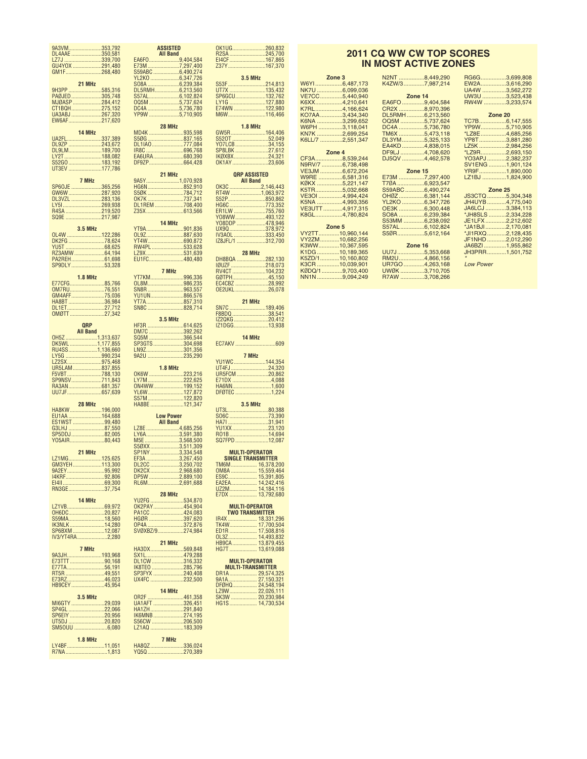| 9A3VM353,792                     | <b>ASSISTED</b>                   |
|----------------------------------|-----------------------------------|
| DL4AAE 350,581                   | <b>All Band</b>                   |
| LZ7J 339,700                     |                                   |
| GM1F268,480                      |                                   |
|                                  |                                   |
| 21 MHz                           |                                   |
| 9H3PP 585,316<br>PAØJED305,748   | DL5RMH6,213,560<br>S57AL6,102,824 |
| MJØASP 284,412                   |                                   |
| CT1BQH275,152                    | 0Q5M 5,737,624<br>DC4A 5,736,780  |
| UA3ABJ 267,320                   | YP9W 5,710,905                    |
| EW6AF217,620                     | 28 MHz                            |
| 14 MHz                           | MD4K 935,598                      |
| UA2FL337,389                     | S50G837,165                       |
| DL9ZP 243,672                    | DL1IA0777,084                     |
| DL9LM189,700<br>LY2T188,082      | IR8C 696,768                      |
| S52G0183,192                     | EA6URA680,390                     |
| UT3EV 177,786                    |                                   |
|                                  | 21 MHz                            |
| 7 MHz                            | 9A5Y1,070,928<br>HG6N852,910      |
| SP60JE 365,256<br>GW6W 287,920   |                                   |
| DL3VZL 283,136                   | S5ØK 784,712<br>ОК7К 737,341      |
| LY51269,938                      | DL1REM 708,400                    |
| R4SA 219,520                     | Z35X613,566                       |
|                                  | 14 MHz                            |
| <b>3.5 MHz</b>                   | YT9A901,836                       |
| OL4W 122,286                     | OL9Z887,630                       |
| DK2FG 78.624<br>YU5T 68,625      | YT4W690,872<br>RW4PL 533,628      |
| RZ3AMW 64,194                    | LZ9X531,639                       |
| PA2REH61,698                     | EU1FC480,480                      |
| SP9DLY53,328                     |                                   |
| <b>1.8 MHz</b>                   | 7 MHz                             |
| E77CFG85,766                     | ҮТ7КМ996,336<br>OL8M986,235       |
| 0M7RU76,551                      | SN8R963,557                       |
| GM4AFF75,036                     | YU1UN866,576                      |
|                                  | YT7A857,310<br>SN8C828,714        |
| OMØTT27,342                      |                                   |
|                                  | <b>3.5 MHz</b>                    |
| <b>QRP</b>                       | <u>HF3R 614,625</u>               |
| <b>All Band</b>                  | DM7C 392,262                      |
|                                  |                                   |
| OH5Z 1,313,637                   | SQ5M 366,544                      |
| DK5WL1,177,855<br>RU4SS1,136,660 | SP3GTS304,698<br>LN9Z301,356      |
| LY5G 990,234                     | 9A2U 235,290                      |
| LZ2SX975,468                     |                                   |
| UR5LAM837,855                    | <b>1.8 MHz</b>                    |
| F5VBT788,130<br>SP9NSV711,843    | OK6W 223,216<br>LY7M222,625       |
| RA3AN681,357                     | 0N4WW199,152                      |
| UU7JF657,639                     | YL6W127,872                       |
| <b>28 MHz</b>                    | S57M122,820                       |
| HA8KW196,000                     | HA8BE 121,347                     |
| EU1AA 164,688                    | <b>Low Power</b>                  |
| ES1WST99,480                     | <b>All Band</b>                   |
| G3LHJ 87,550<br>SP5DDJ 82,005    | LZ8E 4,685,256                    |
| Y05AIR80,443                     | LY6A3,591,380<br>M5E 3,568,500    |
|                                  | S50XX3,511,309                    |
| 21 MHz                           | SP1NY3,334,548                    |
| LZ1MG125,625<br>GM3YEH113,300    | EF3A 3,267,450<br>DL2CC 3,250,702 |
| 9A2EY95,992                      | DK2CX 2,968,680                   |
| I4KRF92,806                      | DP5W 2,889,100                    |
| RN3GE37,754                      | RL6M2,691,688                     |
|                                  | 28 MHz                            |
| 14 MHz                           |                                   |
| LZ1VB69,972                      | YU2FG 534,870<br>OK2PAY 454,904   |
| OH6DC20,827<br>S59MA18.560       | PA1CC 424,083<br>HGØR 397,620     |
|                                  |                                   |
| IK3NLK14,280<br>SP6BXM12,087     | 0P4A 372,876<br>SVØXBZ/9 274,984  |
| IV3/YT4RA2,280                   |                                   |
| 7 MHz                            | 21 MHz                            |
|                                  | HA3DX569,848                      |
| 9A3JH193,968<br>E73TTT90,168     |                                   |
| E77TA56,191                      |                                   |
| RT5R 49,551<br>E73RZ46,023       |                                   |
| HB9CEY45,954                     |                                   |
|                                  | 14 MHz                            |
| 3.5 MHz                          |                                   |
|                                  |                                   |
|                                  |                                   |
|                                  |                                   |
|                                  |                                   |
| <b>1.8 MHz</b>                   | 7 MHz                             |
| LY4BF11,051<br>R7NA1,813         | HA8QZ 336,024<br>YQ5Q 270,389     |

**MI6G** 

| D<br>d                                                                  |      | OK1UG260,832<br>R2SA 245,700                                                                                                |
|-------------------------------------------------------------------------|------|-----------------------------------------------------------------------------------------------------------------------------|
| .9,404,584                                                              |      | EI4CF167,865                                                                                                                |
| .7,297,400                                                              |      | Z37Y167,370                                                                                                                 |
| $.6,490,274$<br>$.6,347,726$<br>.6,239,384                              |      | <b>3.5 MHz</b><br>S53F 214,813                                                                                              |
| .6,213,560                                                              |      | UT7X 135,432                                                                                                                |
|                                                                         |      | SP6GCU132,762                                                                                                               |
|                                                                         |      |                                                                                                                             |
|                                                                         |      |                                                                                                                             |
| ŗ<br>935,598                                                            |      | <b>1.8 MHz</b><br>GW5R164,406                                                                                               |
|                                                                         |      | S520T 52,049<br>YO7LCB34,155                                                                                                |
|                                                                         |      | SP8LBK 27,612<br>IKØXBX 24,321                                                                                              |
| 680,390<br>664,428                                                      |      | 0K1AY23,606                                                                                                                 |
|                                                                         |      | <b>QRP ASSISTED</b>                                                                                                         |
| <mark>.</mark><br>1,070,928<br>852,910                                  | OK3C | <b>All Band</b>                                                                                                             |
| $784,712$<br>$737,341$                                                  |      | 2,146,443<br>RT4W 1,063,972                                                                                                 |
|                                                                         |      | S52P850,862<br>HG6C773,352                                                                                                  |
| 708,400<br>613,566                                                      |      | ER1LW 755,760                                                                                                               |
|                                                                         |      |                                                                                                                             |
| 901,836                                                                 |      |                                                                                                                             |
| 887,630<br>690,872<br>533,628                                           |      | IZ8JFL/1 312,700                                                                                                            |
| 531,639<br>480,480                                                      |      | 28 MHz                                                                                                                      |
|                                                                         |      | DH8BQA 282,130<br>IØUZF 218,073                                                                                             |
| 996,336                                                                 |      | RV4CT 104,232                                                                                                               |
| 986,235<br>963,557                                                      |      |                                                                                                                             |
|                                                                         |      |                                                                                                                             |
| 866,576<br>857,310<br>828,714                                           |      | 21 MHz<br>SN7C 189,406                                                                                                      |
|                                                                         |      | F8BDQ 38,541                                                                                                                |
| Z<br>614,625<br>392,262                                                 |      | IZ2QKG20,412<br>IZ1DGG13,938                                                                                                |
| 366,544                                                                 |      | 14 MHz                                                                                                                      |
|                                                                         |      |                                                                                                                             |
| $\frac{304,698}{301,356}$<br>301,356<br>235,290                         |      | 7 MHz                                                                                                                       |
| Z                                                                       |      | YU1WC144,354<br>UT4FJ24,320                                                                                                 |
| 223,216<br>222,625                                                      |      | UR5FCM 20,862<br>E71DX 4,088                                                                                                |
| 199,152                                                                 |      | HA6NN1,600                                                                                                                  |
| 127,872<br>122,820                                                      |      | DFØTEC1,224                                                                                                                 |
| 121,347                                                                 |      | <b>3.5 MHz</b><br>UT3L80,388                                                                                                |
| er                                                                      |      | SO6C 73,390                                                                                                                 |
| d<br>.4,685,256                                                         |      | HA7131,941<br>YU1XX23,120                                                                                                   |
|                                                                         |      | R01B14,694<br>SQ7FPD 12,087                                                                                                 |
| $\frac{13,591,380}{0.3,591,380}$<br>3,568,500<br>3,511,309<br>3,334,548 |      |                                                                                                                             |
|                                                                         |      | <b>MULTI-OPERATOR</b><br><b>SINGLE TRANSMITTER</b>                                                                          |
| 3,267,450<br>3,267,450<br>3,250,702<br>2,889,100<br>2,889,100           |      |                                                                                                                             |
|                                                                         |      |                                                                                                                             |
| .2,691,688                                                              |      |                                                                                                                             |
| ŗ<br>534,870                                                            |      |                                                                                                                             |
| 454,904<br>424,083                                                      |      | <b>MULTI-OPERATOR</b>                                                                                                       |
|                                                                         |      |                                                                                                                             |
|                                                                         |      | <b>TWO TRANSMITTER</b>                                                                                                      |
|                                                                         |      |                                                                                                                             |
|                                                                         |      |                                                                                                                             |
| ŗ<br>569,848                                                            |      |                                                                                                                             |
| 479,288                                                                 |      | <b>MULTI-OPERATOR</b>                                                                                                       |
| 316,332                                                                 |      | <b>MULTI-TRANSMITTER</b>                                                                                                    |
| 285,796<br>240,408<br>232,500                                           |      |                                                                                                                             |
|                                                                         |      |                                                                                                                             |
| ŗ<br>461,358                                                            |      | DR1A<br>DR1A<br>29,574,325<br>9A1A<br>27,150,321<br>DFØHQ<br>27,150,321<br>27,020,884<br>HG1S<br>HG1S<br>20,230,984<br>HG1S |
| 326,451<br>291,840                                                      |      | HG1S 14,730,534                                                                                                             |
| 274,195<br>206,500                                                      |      |                                                                                                                             |
| 183,309                                                                 |      |                                                                                                                             |

## **2011 CQ WW CW TOP SCORES IN MOST ACTIVE ZONES**

| W6YI6,487,173    | K4ZW/37,987,214 |
|------------------|-----------------|
| NK7U 6,099,036   |                 |
| VE7CC5,440,940   | Zone 14         |
| K6XX4,210,641    | EA6FO9,404,584  |
| K7RL4,166,624    | CR2X 8,970,396  |
| KO7AA3,434,340   | DL5RMH6,213,560 |
| K6NA 3,299,652   | OQ5M 5,737,624  |
| W6PH 3,118,041   | DC4A 5,736,780  |
| KN7K 2,699,254   | TM6X 5,473,118  |
| K6LL/7 2,551,347 | DL3YM5,325,133  |
|                  | EA4KD 4,838,015 |
| Zone 4           | DF9LJ 4,708,620 |
| CF3A8,539,244    | DJ5QV 4,462,578 |
| N9RV/7 6,738,498 |                 |
| VE3JM 6,672,204  | Zone 15         |
| W9RE 6,581,316   | E73M 7,297,400  |
| KØKX 5,221,147   | T70A6,923,547   |
| K5TR5,032,668    | S59ABC6,490,274 |
| VE3OI 4,994,424  | OH0Z 6,381,144  |
| K5NA 4,993,356   | YL2KO 6,347,726 |
| VE3UTT4,917,315  | OE3K 6,300,448  |
| K8GL4.780.824    | SO8A 6,239,384  |
|                  | S53MM 6,238,092 |
| Zone 5           | S57AL6,102,824  |
| VY2TT10,960,144  | S50R5,612,164   |
| VY2ZM10,682,256  |                 |
| K3WW10,367,595   | Zone 16         |
| K1DG10,189,365   | UU7J5,353,668   |
| K5ZD/110,160,802 | RM2U4,866,156   |
| K3CR 10,039,901  | UR7GO 4,263,168 |
| KØDQ/19,703,400  | UWØK 3,710,705  |
| NN1N9,094,249    | R7AW 3,708,266  |

**Zone 3**

| N2NT 8,449,290  | RG6G3,699,808         |
|-----------------|-----------------------|
| K4ZW/37,987,214 | EW2A3,616,290         |
|                 | UA4W 3,562,272        |
| Zone 14         | UW3U 3,523,438        |
| EA6FO9,404,584  | RW4W 3,233,574        |
| CR2X 8,970,396  |                       |
| DL5RMH6,213,560 | Zone 20               |
| OQ5M 5,737,624  | TC7B6,147,555         |
| DC4A 5,736,780  | YP9W5,710,905         |
| TM6X 5,473,118  | *LZ8E4,685,256        |
| DL3YM5,325,133  | YP8T3,881,280         |
| EA4KD 4,838,015 | LZ5K 2,984,256        |
| DF9LJ 4,708,620 | *LZ9R2,693,150        |
| DJ5QV 4,462,578 | YO3APJ2,382,237       |
|                 | SV1ENG 1,901,124      |
| Zone 15         | YR9F1,890,000         |
| E73M 7,297,400  | LZ1BJ 1,824,900       |
| T70A6,923,547   |                       |
| S59ABC6,490,274 | Zone 25               |
| OH0Z 6,381,144  | JS3CTQ 5,304,348      |
| YL2KO 6,347,726 | JH4UYB4,775,040       |
| OE3K 6,300,448  | JA6LCJ 3,384,113      |
| SO8A 6,239,384  | *JH8SLS 2,334,228     |
| S53MM 6,238,092 | JE1LFX2,212,602       |
| S57AL6,102,824  | *JA1BJI2,170,081      |
| S50R5,612,164   | *JI1RXQ2,128,435      |
|                 | JF1NHD 2,012,290      |
| Zone 16         | JA6BZI 1,955,862      |
| $F = 0.000$     | $1110000$ $4.504.750$ |

| EW2A3,616,290     |  |
|-------------------|--|
| UA4W 3,562,272    |  |
| UW3U 3,523,438    |  |
| RW4W 3,233,574    |  |
|                   |  |
| Zone 20           |  |
| TC7B6,147,555     |  |
| YP9W5,710,905     |  |
| *LZ8E4,685,256    |  |
| YP8T3,881,280     |  |
| LZ5K 2,984,256    |  |
| *LZ9R2,693,150    |  |
| YO3APJ2,382,237   |  |
| SV1ENG 1,901,124  |  |
| YR9F1,890,000     |  |
| LZ1BJ 1,824,900   |  |
|                   |  |
| Zone 25           |  |
| JS3CTQ 5,304,348  |  |
| JH4UYB4,775,040   |  |
| JA6LCJ 3,384,113  |  |
| *JH8SLS 2,334,228 |  |
| JE1LFX 2,212,602  |  |
| *JA1BJI2,170,081  |  |
|                   |  |

 $...1,501,752$ 

*\**

*Low Power*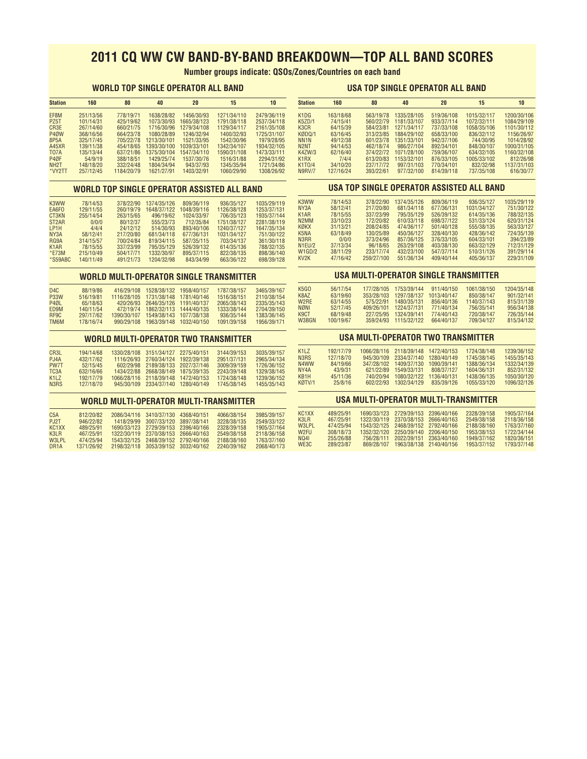# **2011 CQ WW CW BAND-BY-BAND BREAKDOWN—TOP ALL BAND SCORES**

**Number groups indicate: QSOs/Zones/Countries on each band**

### **WORLD TOP SINGLE OPERATOR ALL BAND**

#### **USA TOP SINGLE OPERATOR ALL BAND**

| <b>Station</b>    | 160       | 80         | 40          | 20          | 15          | 10          |
|-------------------|-----------|------------|-------------|-------------|-------------|-------------|
| EF8M              | 251/13/56 | 778/19/71  | 1638/28/82  | 1456/30/93  | 1271/34/110 | 2479/36/119 |
| P <sub>Z5</sub> T | 101/14/31 | 425/19/62  | 1073/30/93  | 1665/38/123 | 1791/38/118 | 2537/34/118 |
| CR3E              | 267/14/60 | 660/21/75  | 1716/30/96  | 1279/34/108 | 1129/34/117 | 2161/35/108 |
| P40W              | 368/16/56 | 664/23/78  | 1080/28/89  | 1246/32/94  | 1400/32/93  | 1725/31/107 |
| 8P5A              | 325/17/45 | 705/22/78  | 1213/30/101 | 1521/33/95  | 1542/30/96  | 1979/28/95  |
| <b>A45XR</b>      | 139/11/38 | 454/18/65  | 1393/30/100 | 1039/33/101 | 1342/34/107 | 1934/32/105 |
| <b>T07A</b>       | 135/13/44 | 637/21/86  | 1375/30/104 | 1547/34/110 | 1590/31/108 | 1473/33/111 |
| P4ØF              | 54/9/19   | 388/18/51  | 1429/25/74  | 1537/30/76  | 1516/31/88  | 2294/31/92  |
| NH <sub>2</sub> T | 148/18/20 | 332/24/48  | 1804/34/94  | 943/37/93   | 1345/35/94  | 1721/34/86  |
| *VY2TT            | 257/12/45 | 1184/20/79 | 1621/27/91  | 1403/32/91  | 1060/29/90  | 1308/26/92  |

#### **WORLD TOP SINGLE OPERATOR ASSISTED ALL BAND**

| K <sub>3</sub> WW  | 78/14/53  | 378/22/90 | 1374/35/126 | 809/36/119  | 936/35/127  | 1035/29/119 |
|--------------------|-----------|-----------|-------------|-------------|-------------|-------------|
| EA6FO              | 129/11/55 | 260/19/79 | 1648/37/122 | 1048/39/116 | 1126/38/128 | 1253/37/131 |
| CT3KN              | 255/14/54 | 263/15/65 | 496/19/62   | 1024/33/97  | 706/35/123  | 1935/37/144 |
| ST <sub>2</sub> AR | 0/0/0     | 80/12/37  | 555/23/73   | 712/35/84   | 1751/38/127 | 2281/38/119 |
| LP1H               | 4/4/4     | 24/12/12  | 514/30/93   | 893/40/106  | 1240/37/127 | 1647/35/134 |
| NY <sub>3</sub> A  | 58/12/41  | 217/20/80 | 681/34/118  | 677/36/131  | 1031/34/127 | 751/30/122  |
| RG9A               | 314/15/57 | 700/24/84 | 819/34/115  | 587/35/115  | 703/34/137  | 361/30/118  |
| K <sub>1</sub> AR  | 78/15/55  | 337/23/99 | 795/35/129  | 526/39/132  | 614/35/136  | 788/32/135  |
| $*$ <b>E73M</b>    | 215/10/49 | 504/17/71 | 1332/30/97  | 895/37/115  | 822/38/135  | 898/36/140  |
| $*$ S59ABC         | 140/11/49 | 491/21/73 | 1204/32/98  | 843/34/99   | 663/36/122  | 698/39/128  |

#### **WORLD MULTI-OPERATOR SINGLE TRANSMITTER**

| D4C               | 88/19/86  |             | 416/29/108 1528/38/132 1958/40/157 |                         | 1787/38/157 | 3465/39/167 |
|-------------------|-----------|-------------|------------------------------------|-------------------------|-------------|-------------|
| <b>P33W</b>       | 516/19/81 | 1116/28/105 | 1731/38/148 1781/40/146            |                         | 1516/38/151 | 2110/38/154 |
| P <sub>40</sub> L | 65/18/63  |             | 420/26/93 2646/35/126 1191/40/137  |                         | 2065/38/143 | 2335/35/143 |
| <b>FD9M</b>       | 140/11/54 | 472/19/74   |                                    | 1862/32/113 1444/40/135 | 1333/38/144 | 2704/39/150 |
| RF9C              | 297/17/62 | 1390/30/107 |                                    | 1549/38/143 1077/38/138 | 936/35/144  | 1383/36/145 |
| <b>TM6M</b>       | 178/16/74 | 990/29/108  |                                    | 1963/39/148 1032/40/150 | 1091/39/158 | 1956/39/171 |
|                   |           |             |                                    |                         |             |             |

## **WORLD MULTI-OPERATOR TWO TRANSMITTER**

| CR3L                          | 194/14/68 | 1330/28/108 3151/34/127 2275/40/151 | 3144/39/153 | 3035/39/157 |
|-------------------------------|-----------|-------------------------------------|-------------|-------------|
| PJ4A                          | 432/17/62 | 1116/26/93 2760/34/124 1922/39/138  | 2951/37/131 | 2965/34/134 |
| PW7T                          | 52/15/45  | 602/29/98 2189/38/133 2027/37/146   | 3009/39/159 | 1726/36/152 |
| TC <sub>3</sub> A             | 632/16/66 | 1434/22/88 2668/38/149 1875/39/135  | 2243/39/148 | 1329/38/145 |
| K <sub>1</sub> 17             | 192/17/79 | 1066/28/116 2118/39/148 1472/40/153 | 1724/38/148 | 1239/36/152 |
| N <sub>3</sub> R <sub>S</sub> | 127/18/70 | 945/30/109 2334/37/140 1280/40/149  | 1745/38/145 | 1455/35/143 |

#### **WORLD MULTI-OPERATOR MULTI-TRANSMITTER**

| C5A                            | 812/20/82  | 2086/34/116 3410/37/130 4368/40/151 | 4066/38/154 | 3985/39/157 |
|--------------------------------|------------|-------------------------------------|-------------|-------------|
| <b>P.I2T</b>                   | 946/22/82  | 1418/29/99 3007/33/120 3897/38/141  | 3228/38/135 | 2549/33/122 |
| KC <sub>1</sub> X <sub>X</sub> | 489/25/91  | 1690/33/123 2729/39/153 2396/40/166 | 2328/39/158 | 1905/37/164 |
| K3IR                           | 467/25/91  | 1322/30/119 2370/38/153 2666/40/163 | 2549/38/158 | 2118/36/158 |
| W <sub>3</sub> I PL            | 474/25/94  | 1543/32/125 2468/39/152 2792/40/166 | 2188/38/160 | 1763/37/160 |
| DR <sub>1</sub> A              | 1371/26/92 | 2198/32/118 3053/39/152 3032/40/162 | 2240/39/162 | 2068/40/173 |
|                                |            |                                     |             |             |

| <b>Station</b>                | 160       | 80        | 40          | 20         | 15          | 10          |
|-------------------------------|-----------|-----------|-------------|------------|-------------|-------------|
| K <sub>1</sub> D <sub>G</sub> | 163/18/68 | 563/19/78 | 1335/28/105 | 519/36/108 | 1015/32/117 | 1200/30/106 |
| <b>K5ZD/1</b>                 | 74/15/41  | 560/22/79 | 1181/33/107 | 933/37/114 | 1072/32/111 | 1084/29/109 |
| K <sub>3</sub> C <sub>R</sub> | 64/15/39  | 584/23/81 | 1271/34/117 | 737/33/108 | 1058/35/106 | 1101/30/112 |
| KØDO/1                        | 63/16/45  | 313/23/85 | 1884/29/102 | 658/33/100 | 836/32/112  | 1156/26/97  |
| NN <sub>1</sub> N             | 49/12/38  | 601/23/78 | 1351/33/101 | 942/37/106 | 744/30/95   | 1014/28/92  |
| N <sub>2</sub> N <sub>T</sub> | 94/14/53  | 462/18/74 | 986/27/104  | 892/34/101 | 848/30/107  | 1000/31/105 |
| K4ZW/3                        | 62/16/40  | 374/22/72 | 1071/28/100 | 759/36/107 | 634/32/105  | 1160/32/108 |
| K <sub>1</sub> R <sub>X</sub> | 7/4/4     | 613/20/83 | 1153/32/101 | 876/33/105 | 1005/33/102 | 812/26/98   |
| K1T0/4                        | 34/10/20  | 237/17/72 | 997/31/103  | 770/34/101 | 832/32/98   | 1137/31/103 |
| <b>N9RV/7</b>                 | 127/16/24 | 393/22/61 | 977/32/100  | 814/39/118 | 737/35/108  | 616/30/77   |

## **USA TOP SINGLE OPERATOR ASSISTED ALL BAND**

| K3WW              | 78/14/53 | 378/22/90  | 1374/35/126 | 809/36/119 | 936/35/127  | 1035/29/119 |
|-------------------|----------|------------|-------------|------------|-------------|-------------|
| NY3A              | 58/12/41 | 217/20/80  | 681/34/118  | 677/36/131 | 1031/34/127 | 751/30/122  |
| K <sub>1</sub> AR | 78/15/55 | 337/23/99  | 795/35/129  | 526/39/132 | 614/35/136  | 788/32/135  |
| N2MM              | 33/10/23 | 172/20/82  | 610/33/118  | 698/37/122 | 531/33/124  | 620/31/124  |
| кикх              | 31/13/21 | 208/24/85  | 474/36/117  | 501/40/128 | 555/38/135  | 563/33/127  |
| K <sub>5</sub> NA | 63/18/49 | 130/25/89  | 450/36/127  | 328/40/130 | 428/36/142  | 724/35/139  |
| N3RR              | 0/0/0    | 373/24/96  | 857/36/125  | 376/33/105 | 604/33/101  | 394/23/89   |
| N1EU/2            | 37/13/34 | 96/18/65   | 263/29/108  | 403/38/130 | 663/32/129  | 712/31/129  |
| W1GD/2            | 38/11/29 | 233/17/74  | 432/23/100  | 547/37/114 | 510/31/126  | 391/29/114  |
| KV <sub>2</sub> K | 47/16/42 | 259/27/100 | 551/36/134  | 409/40/144 | 405/36/137  | 229/31/109  |
|                   |          |            |             |            |             |             |

## **USA MULTI-OPERATOR SINGLE TRANSMITTER**

| K5GO  | 56/17/54  | 177/28/105 | 1753/39/144 | 911/40/150  | 1061/38/150 | 1204/35/148 |
|-------|-----------|------------|-------------|-------------|-------------|-------------|
| K8AZ  | 63/19/60  | 353/28/103 | 1297/38/137 | 1013/40/147 | 850/38/147  | 901/32/141  |
| W2RF  | 63/14/55  | 575/22/91  | 1480/35/131 | 856/40/136  | 1140/37/143 | 815/31/139  |
| NØNI  | 52/17/45  | 409/26/101 | 1224/37/131 | 771/40/134  | 756/35/141  | 956/34/138  |
| K9CT  | 68/19/48  | 227/25/95  | 1324/39/141 | 774/40/143  | 720/38/147  | 726/35/144  |
| W3BGN | 100/19/67 | 359/24/93  | 1115/32/122 | 664/40/137  | 709/34/127  | 815/34/132  |
|       |           |            |             |             |             |             |

## **USA MULTI-OPERATOR TWO TRANSMITTER**

| K117   | 192/17/79 |           | 1066/28/116 2118/39/148 1472/40/153 |             | 1724/38/148 | 1239/36/152 |
|--------|-----------|-----------|-------------------------------------|-------------|-------------|-------------|
| N3RS   | 127/18/70 |           | 945/30/109 2334/37/140 1280/40/149  |             | 1745/38/145 | 1455/35/143 |
| N4WW   | 84/19/66  |           | 347/28/102 1409/37/130              | 1090/39/141 | 1388/36/134 | 1332/34/139 |
| NY4A   | 43/9/31   | 621/22/89 | 1549/33/131                         | 808/37/127  | 1604/36/131 | 852/31/132  |
| KB1H   | 45/11/36  | 740/20/94 | 1080/32/122                         | 1136/40/131 | 1438/36/135 | 1050/30/120 |
| KØTV/1 | 25/8/16   |           | 602/22/93 1302/34/129               | 835/39/126  | 1055/33/120 | 1096/32/126 |
|        |           |           |                                     |             |             |             |

## **USA MULTI-OPERATOR MULTI-TRANSMITTER**

| KC <sub>1</sub> X <sub>X</sub> | 489/25/91 |            | 1690/33/123 2729/39/153 2396/40/166 | 2328/39/158 | 1905/37/164 |
|--------------------------------|-----------|------------|-------------------------------------|-------------|-------------|
| K3IR                           | 467/25/91 |            | 1322/30/119 2370/38/153 2666/40/163 | 2549/38/158 | 2118/36/158 |
| W3I PI                         | 474/25/94 |            | 1543/32/125 2468/39/152 2792/40/166 | 2188/38/160 | 1763/37/160 |
| W <sub>2</sub> FII             | 308/18/73 |            | 1352/32/120 2250/39/140 2206/40/150 | 1953/38/153 | 1722/34/144 |
| <b>NO41</b>                    | 255/26/88 | 756/28/111 | 2022/39/151 2363/40/160             | 1949/37/162 | 1820/36/151 |
| WE3C                           | 289/23/87 | 869/28/107 | 1963/38/138 2140/40/156             | 1953/37/152 | 1793/37/148 |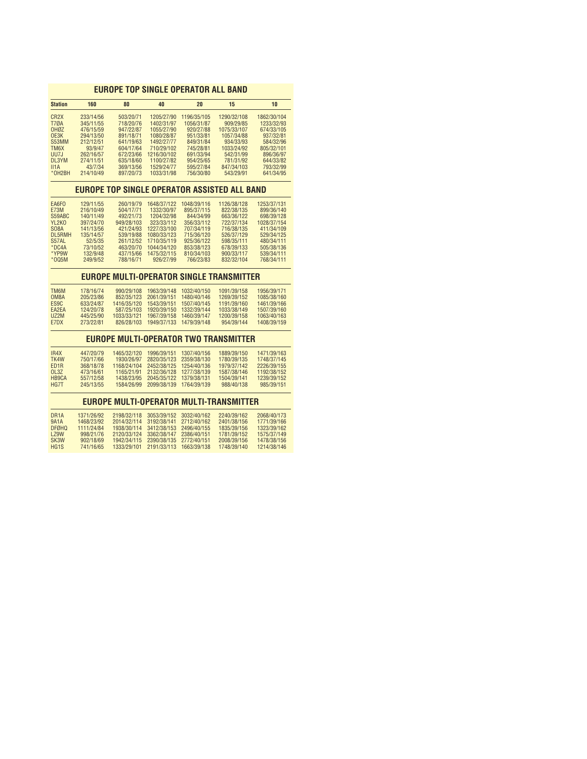## **EUROPE TOP SINGLE OPERATOR ALL BAND**

| <b>Station</b>                 | 160       | 80         | 40          | 20          | 15                                              | 10          |
|--------------------------------|-----------|------------|-------------|-------------|-------------------------------------------------|-------------|
| CR <sub>2</sub> X              | 233/14/56 | 503/20/71  | 1205/27/90  | 1196/35/105 | 1290/32/108                                     | 1862/30/104 |
| <b>T70A</b>                    | 345/11/55 | 718/20/76  | 1402/31/97  | 1056/31/87  | 909/29/85                                       | 1233/32/93  |
| OH <sub>ØZ</sub>               | 476/15/59 | 947/22/87  | 1055/27/90  | 920/27/88   | 1075/33/107                                     | 674/33/105  |
| OESK                           | 294/13/50 | 891/18/71  | 1080/28/87  | 951/33/81   | 1057/34/88                                      | 937/32/81   |
| S53MM                          | 212/12/51 | 641/19/63  | 1492/27/77  | 849/31/84   | 934/33/93                                       | 584/32/96   |
| TM <sub>6</sub> X              | 93/9/47   | 604/17/64  | 710/29/102  | 745/28/81   | 1033/24/92                                      | 805/32/101  |
| UU7J                           | 262/16/57 | 672/23/66  | 1216/30/102 | 691/33/94   | 542/31/99                                       | 896/36/97   |
| DL3YM                          | 274/11/51 | 635/18/60  | 1100/27/82  | 954/25/65   | 781/31/92                                       | 644/33/82   |
| II1A                           | 43/7/34   | 369/13/56  | 1529/24/77  | 595/27/84   | 847/34/103                                      | 793/32/99   |
| *OH <sub>2</sub> BH            | 214/10/49 | 897/20/73  | 1033/31/98  | 756/30/80   | 543/29/91                                       | 641/34/95   |
|                                |           |            |             |             | EUROPE TOP SINGLE OPERATOR ASSISTED ALL BAND    |             |
|                                |           |            |             |             |                                                 |             |
| EA6FO                          | 129/11/55 | 260/19/79  | 1648/37/122 | 1048/39/116 | 1126/38/128                                     | 1253/37/131 |
| <b>E73M</b>                    | 216/10/49 | 504/17/71  | 1332/30/97  | 895/37/115  | 822/38/135                                      | 899/36/140  |
| S59ABC                         | 140/11/49 | 492/21/73  | 1204/32/98  | 844/34/99   | 663/36/122                                      | 698/39/128  |
| YL <sub>2</sub> K <sub>0</sub> | 397/24/70 | 949/28/103 | 323/33/112  | 356/33/112  | 722/37/134                                      | 1028/37/154 |
| <b>SO8A</b>                    | 141/13/56 | 421/24/93  | 1227/33/100 | 707/34/119  | 716/38/135                                      | 411/34/109  |
| <b>DL5RMH</b>                  | 135/14/57 | 539/19/88  | 1080/33/123 | 715/36/120  | 526/37/129                                      | 529/34/125  |
| S57AL                          | 52/5/35   | 261/12/52  | 1710/35/119 | 925/36/122  | 598/35/111                                      | 480/34/111  |
| $*DC4A$                        | 73/10/52  | 463/20/70  | 1044/34/120 | 853/38/123  | 678/39/133                                      | 505/38/136  |
| *YP9W                          | 132/9/48  | 437/15/66  | 1475/32/115 | 810/34/103  | 900/33/117                                      | 539/34/111  |
| $*005M$                        | 249/9/52  | 788/16/71  | 926/27/99   | 766/23/83   | 832/32/104                                      | 768/34/111  |
|                                |           |            |             |             | <b>EUROPE MULTI-OPERATOR SINGLE TRANSMITTER</b> |             |
|                                |           |            |             |             |                                                 |             |
| TM <sub>6</sub> M              | 178/16/74 | 990/29/108 | 1963/39/148 | 1032/40/150 | 1091/39/158                                     | 1956/39/171 |
| OM8A                           | 205/23/86 | 852/35/123 | 2061/39/151 | 1480/40/146 | 1269/39/152                                     | 1085/38/160 |

| ES <sub>9</sub> C  | 633/24/87 |             | 1416/35/120  1543/39/151  1507/40/145 | 1191/39/160 | 1461/39/166 |
|--------------------|-----------|-------------|---------------------------------------|-------------|-------------|
| FA <sub>2</sub> FA | 124/20/78 |             | 587/25/103 1920/39/150 1332/39/144    | 1033/38/149 | 1507/39/160 |
| 1172M              | 445/25/90 | 1033/33/121 | 1967/39/158 1460/39/147               | 1200/39/158 | 1063/40/163 |
| F7DX               | 273/22/81 |             | 826/28/103 1949/37/133 1479/39/148    | 954/39/144  | 1408/39/159 |
|                    |           |             |                                       |             |             |

## **EUROPE MULTI-OPERATOR TWO TRANSMITTER**

| IR4X                          | 447/20/79 | 1465/32/120 |                         |                         | 1889/39/150 | 1471/39/163 |
|-------------------------------|-----------|-------------|-------------------------|-------------------------|-------------|-------------|
| TK4W                          | 750/17/66 | 1930/26/97  |                         | 2820/35/123 2359/38/130 | 1780/39/135 | 1748/37/145 |
| F <sub>D</sub> <sub>1</sub> R | 368/18/78 | 1168/24/104 |                         | 2452/38/125 1254/40/136 | 1979/37/142 | 2226/39/155 |
| OL 37                         | 473/16/61 | 1165/21/91  | 2132/36/128 1277/38/139 |                         | 1587/38/146 | 1192/38/152 |
| <b>HR9CA</b>                  | 557/12/58 | 1438/23/95  | 2045/35/122 1379/38/131 |                         | 1504/39/141 | 1239/39/152 |
| H <sub>G</sub> 7T             | 245/13/55 | 1584/26/99  | 2099/38/139 1764/39/139 |                         | 988/40/138  | 985/39/151  |

## **EUROPE MULTI-OPERATOR MULTI-TRANSMITTER**

| DR <sub>1</sub> A | 1371/26/92 | 2198/32/118 3053/39/152 3032/40/162 | 2240/39/162 | 2068/40/173 |
|-------------------|------------|-------------------------------------|-------------|-------------|
| <b>941A</b>       | 1468/23/92 | 2014/32/114 3192/38/141 2712/40/162 | 2401/38/156 | 1771/39/166 |
| <b>DFØHQ</b>      | 1111/24/84 | 1938/30/114 3412/38/153 2496/40/155 | 1835/39/156 | 1323/39/162 |
| 179W              | 998/21/76  | 2120/33/124 3362/38/147 2386/40/151 | 1781/39/152 | 1575/37/149 |
| SK3W              | 902/18/69  | 1942/34/115 2390/38/135 2772/40/151 | 2008/39/156 | 1478/38/156 |
| HG <sub>1</sub> S | 741/16/65  | 1333/29/101 2191/33/113 1663/39/138 | 1748/39/140 | 1214/38/146 |